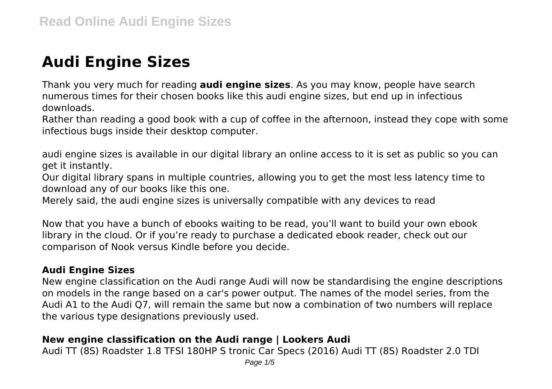# **Audi Engine Sizes**

Thank you very much for reading **audi engine sizes**. As you may know, people have search numerous times for their chosen books like this audi engine sizes, but end up in infectious downloads.

Rather than reading a good book with a cup of coffee in the afternoon, instead they cope with some infectious bugs inside their desktop computer.

audi engine sizes is available in our digital library an online access to it is set as public so you can get it instantly.

Our digital library spans in multiple countries, allowing you to get the most less latency time to download any of our books like this one.

Merely said, the audi engine sizes is universally compatible with any devices to read

Now that you have a bunch of ebooks waiting to be read, you'll want to build your own ebook library in the cloud. Or if you're ready to purchase a dedicated ebook reader, check out our comparison of Nook versus Kindle before you decide.

# **Audi Engine Sizes**

New engine classification on the Audi range Audi will now be standardising the engine descriptions on models in the range based on a car's power output. The names of the model series, from the Audi A1 to the Audi Q7, will remain the same but now a combination of two numbers will replace the various type designations previously used.

# **New engine classification on the Audi range | Lookers Audi**

Audi TT (8S) Roadster 1.8 TFSI 180HP S tronic Car Specs (2016) Audi TT (8S) Roadster 2.0 TDI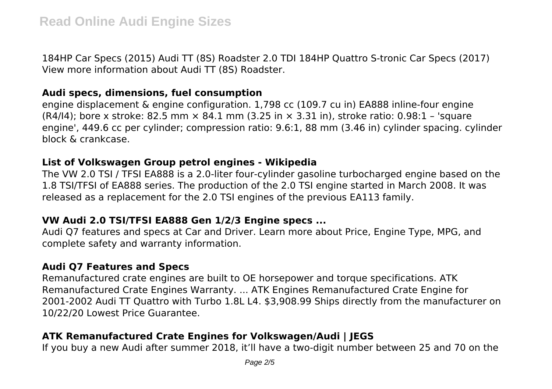184HP Car Specs (2015) Audi TT (8S) Roadster 2.0 TDI 184HP Quattro S-tronic Car Specs (2017) View more information about Audi TT (8S) Roadster.

#### **Audi specs, dimensions, fuel consumption**

engine displacement & engine configuration. 1,798 cc (109.7 cu in) EA888 inline-four engine  $(R4/14)$ ; bore x stroke: 82.5 mm  $\times$  84.1 mm (3.25 in  $\times$  3.31 in), stroke ratio: 0.98:1 – 'square engine', 449.6 cc per cylinder; compression ratio: 9.6:1, 88 mm (3.46 in) cylinder spacing. cylinder block & crankcase.

#### **List of Volkswagen Group petrol engines - Wikipedia**

The VW 2.0 TSI / TFSI EA888 is a 2.0-liter four-cylinder gasoline turbocharged engine based on the 1.8 TSI/TFSI of EA888 series. The production of the 2.0 TSI engine started in March 2008. It was released as a replacement for the 2.0 TSI engines of the previous EA113 family.

# **VW Audi 2.0 TSI/TFSI EA888 Gen 1/2/3 Engine specs ...**

Audi Q7 features and specs at Car and Driver. Learn more about Price, Engine Type, MPG, and complete safety and warranty information.

# **Audi Q7 Features and Specs**

Remanufactured crate engines are built to OE horsepower and torque specifications. ATK Remanufactured Crate Engines Warranty. ... ATK Engines Remanufactured Crate Engine for 2001-2002 Audi TT Quattro with Turbo 1.8L L4. \$3,908.99 Ships directly from the manufacturer on 10/22/20 Lowest Price Guarantee.

# **ATK Remanufactured Crate Engines for Volkswagen/Audi | JEGS**

If you buy a new Audi after summer 2018, it'll have a two-digit number between 25 and 70 on the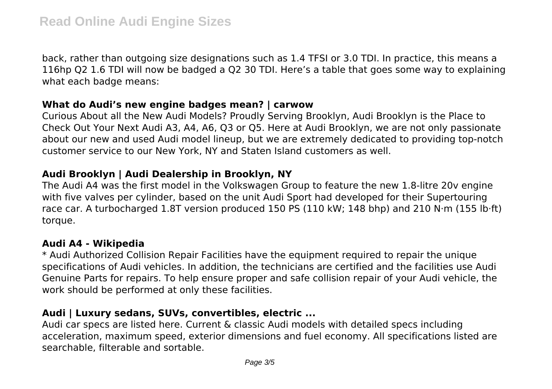back, rather than outgoing size designations such as 1.4 TFSI or 3.0 TDI. In practice, this means a 116hp Q2 1.6 TDI will now be badged a Q2 30 TDI. Here's a table that goes some way to explaining what each badge means:

#### **What do Audi's new engine badges mean? | carwow**

Curious About all the New Audi Models? Proudly Serving Brooklyn, Audi Brooklyn is the Place to Check Out Your Next Audi A3, A4, A6, Q3 or Q5. Here at Audi Brooklyn, we are not only passionate about our new and used Audi model lineup, but we are extremely dedicated to providing top-notch customer service to our New York, NY and Staten Island customers as well.

#### **Audi Brooklyn | Audi Dealership in Brooklyn, NY**

The Audi A4 was the first model in the Volkswagen Group to feature the new 1.8-litre 20v engine with five valves per cylinder, based on the unit Audi Sport had developed for their Supertouring race car. A turbocharged 1.8T version produced 150 PS (110 kW; 148 bhp) and 210 N⋅m (155 lb⋅ft) torque.

#### **Audi A4 - Wikipedia**

\* Audi Authorized Collision Repair Facilities have the equipment required to repair the unique specifications of Audi vehicles. In addition, the technicians are certified and the facilities use Audi Genuine Parts for repairs. To help ensure proper and safe collision repair of your Audi vehicle, the work should be performed at only these facilities.

#### **Audi | Luxury sedans, SUVs, convertibles, electric ...**

Audi car specs are listed here. Current & classic Audi models with detailed specs including acceleration, maximum speed, exterior dimensions and fuel economy. All specifications listed are searchable, filterable and sortable.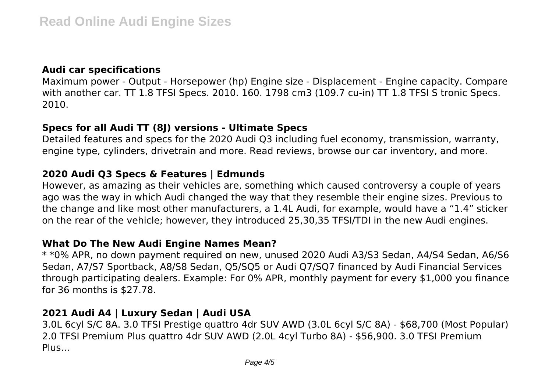# **Audi car specifications**

Maximum power - Output - Horsepower (hp) Engine size - Displacement - Engine capacity. Compare with another car. TT 1.8 TFSI Specs. 2010. 160. 1798 cm3 (109.7 cu-in) TT 1.8 TFSI S tronic Specs. 2010.

#### **Specs for all Audi TT (8J) versions - Ultimate Specs**

Detailed features and specs for the 2020 Audi Q3 including fuel economy, transmission, warranty, engine type, cylinders, drivetrain and more. Read reviews, browse our car inventory, and more.

# **2020 Audi Q3 Specs & Features | Edmunds**

However, as amazing as their vehicles are, something which caused controversy a couple of years ago was the way in which Audi changed the way that they resemble their engine sizes. Previous to the change and like most other manufacturers, a 1.4L Audi, for example, would have a "1.4" sticker on the rear of the vehicle; however, they introduced 25,30,35 TFSI/TDI in the new Audi engines.

#### **What Do The New Audi Engine Names Mean?**

\* \*0% APR, no down payment required on new, unused 2020 Audi A3/S3 Sedan, A4/S4 Sedan, A6/S6 Sedan, A7/S7 Sportback, A8/S8 Sedan, Q5/SQ5 or Audi Q7/SQ7 financed by Audi Financial Services through participating dealers. Example: For 0% APR, monthly payment for every \$1,000 you finance for 36 months is \$27.78.

# **2021 Audi A4 | Luxury Sedan | Audi USA**

3.0L 6cyl S/C 8A. 3.0 TFSI Prestige quattro 4dr SUV AWD (3.0L 6cyl S/C 8A) - \$68,700 (Most Popular) 2.0 TFSI Premium Plus quattro 4dr SUV AWD (2.0L 4cyl Turbo 8A) - \$56,900. 3.0 TFSI Premium Plus...